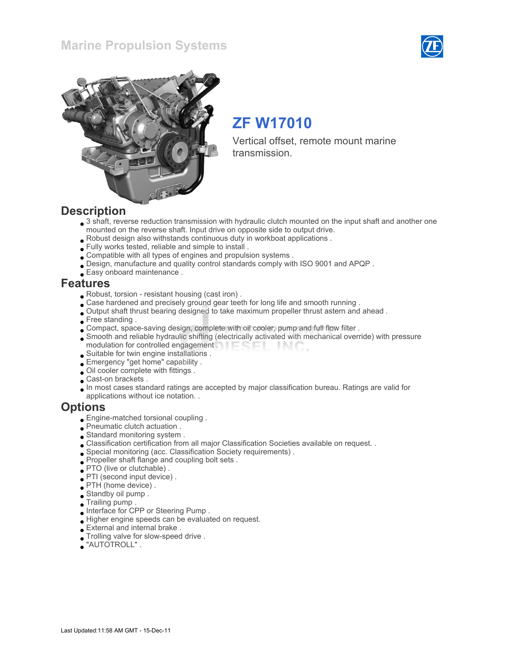### Marine Propulsion Systems





# ZF W17010

Vertical offset, remote mount marine transmission.

#### **Description**

- 3 shaft, reverse reduction transmission with hydraulic clutch mounted on the input shaft and another one mounted on the reverse shaft. Input drive on opposite side to output drive.
- Robust design also withstands continuous duty in workboat applications .
- Fully works tested, reliable and simple to install .
- Compatible with all types of engines and propulsion systems .
- Design, manufacture and quality control standards comply with ISO 9001 and APQP .
- Easy onboard maintenance .

#### Features

- Robust, torsion resistant housing (cast iron) .
- Case hardened and precisely ground gear teeth for long life and smooth running .
- Output shaft thrust bearing designed to take maximum propeller thrust astern and ahead .
- Free standing.
- Compact, space-saving design, complete with oil cooler, pump and full flow filter .
- Smooth and reliable hydraulic shifting (electrically activated with mechanical override) with pressure modulation for controlled engagement . **Example 20** - IN C
- Suitable for twin engine installations .
- Emergency "get home" capability .
- Oil cooler complete with fittings .
- Cast-on brackets .
- In most cases standard ratings are accepted by major classification bureau. Ratings are valid for applications without ice notation. .

#### **Options**

- Engine-matched torsional coupling .
- Pneumatic clutch actuation .
- Standard monitoring system .
- Classification certification from all major Classification Societies available on request. .
- Special monitoring (acc. Classification Society requirements) .
- Propeller shaft flange and coupling bolt sets .
- PTO (live or clutchable) .
- PTI (second input device) .
- PTH (home device) .
- Standby oil pump .
- Trailing pump .
- Interface for CPP or Steering Pump .
- Higher engine speeds can be evaluated on request.
- External and internal brake .
- Trolling valve for slow-speed drive .
- "AUTOTROLL" .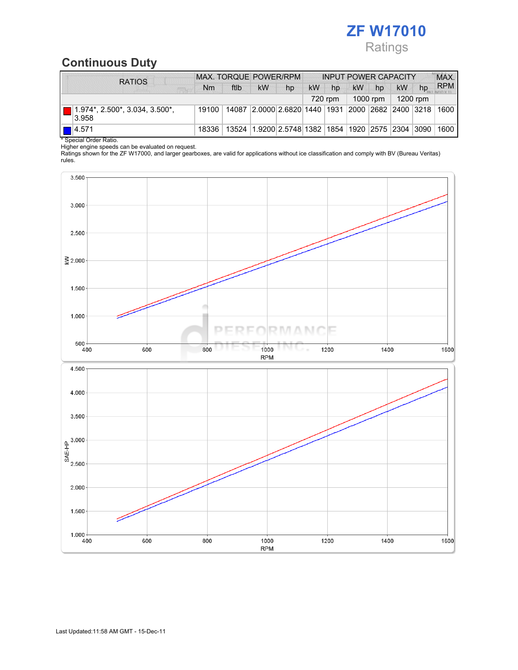## ZF W17010 Ratings

## Continuous Duty

| <b>RATIOS</b>                              | MAX. TORQUE POWER/RPM |       |    |                                                   | <b>INPUT POWER CAPACITY</b> |    |    |    |           | MAX. |                                  |
|--------------------------------------------|-----------------------|-------|----|---------------------------------------------------|-----------------------------|----|----|----|-----------|------|----------------------------------|
| $\frac{1}{2}$                              | N <sub>m</sub>        | ftlb  | kW | hp                                                | kW                          | hp | kW | hp | <b>kW</b> | hp   | <b>RPM</b>                       |
| 1200 rpm<br>1000 rpm<br>720 rpm            |                       |       |    |                                                   |                             |    |    |    |           |      |                                  |
| $1.974$ *, 2.500*, 3.034, 3.500*,<br>3.958 | 19100                 | 14087 |    | 2.0000 2.6820 1440 1931                           |                             |    |    |    |           |      | 2000   2682   2400   3218   1600 |
| $\blacksquare$ 4.571                       | 18336                 |       |    | 13524 1.9200 2.5748 1382 1854 1920 2575 2304 3090 |                             |    |    |    |           |      | 1600                             |

\* Special Order Ratio.

Higher engine speeds can be evaluated on request.

Ratings shown for the ZF W17000, and larger gearboxes, are valid for applications without ice classification and comply with BV (Bureau Veritas) rules.

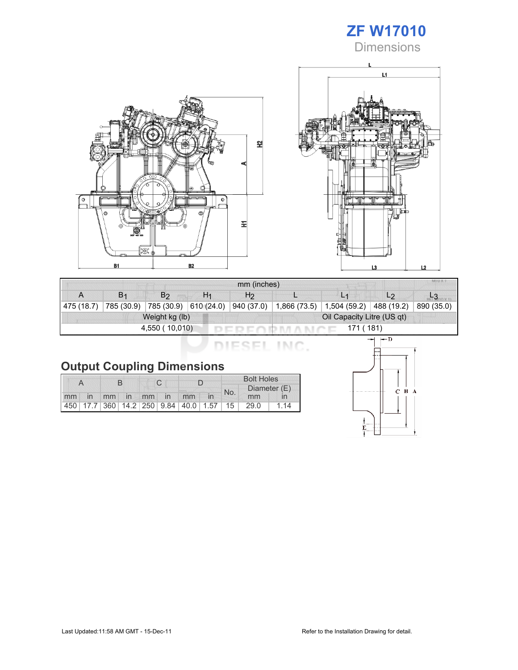





|                | MIU X.I<br>mm (inches) |                       |                |                |                            |              |                |            |  |
|----------------|------------------------|-----------------------|----------------|----------------|----------------------------|--------------|----------------|------------|--|
|                | B <sub>1</sub>         | B <sub>2</sub>        | H <sub>1</sub> | H <sub>2</sub> |                            |              | L <sub>2</sub> |            |  |
| 475(18.7)      | 785 (30.9)             | 785 (30.9) 610 (24.0) |                | 940 (37.0)     | 1,866 (73.5)               | 1,504 (59.2) | 488 (19.2)     | 890 (35.0) |  |
| Weight kg (lb) |                        |                       |                |                | Oil Capacity Litre (US qt) |              |                |            |  |
|                |                        | 4,550 (10,010)        |                |                | 171 (181)                  |              |                |            |  |

DIESEL INC.

|  | <b>Output Coupling Dimensions</b> |
|--|-----------------------------------|

|    |    |  |             |  |  |                                         |  | <b>Bolt Holes</b> |              |      |  |
|----|----|--|-------------|--|--|-----------------------------------------|--|-------------------|--------------|------|--|
|    |    |  |             |  |  |                                         |  | No.               | Diameter (E) |      |  |
| mm | in |  | mm in mm in |  |  | mm                                      |  |                   | mm           |      |  |
|    |    |  |             |  |  | 450 17.7 360 14.2 250 9.84 40.0 1.57 15 |  |                   | 29.0         | . 14 |  |